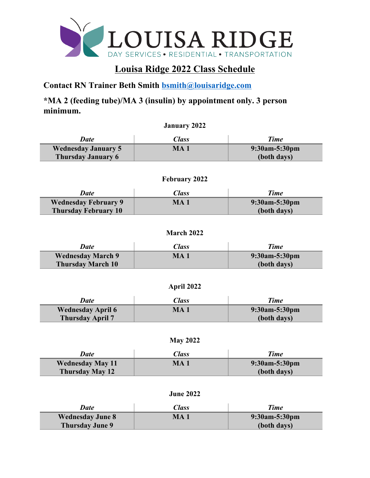

# **Louisa Ridge 2022 Class Schedule**

**Contact RN Trainer Beth Smith [bsmith@louisaridge.com](mailto:bsmith@louisaridge.com)**

**\*MA 2 (feeding tube)/MA 3 (insulin) by appointment only. 3 person minimum.** 

|                            | <b>January 2022</b> |               |
|----------------------------|---------------------|---------------|
| Date                       | Class               | <b>Time</b>   |
| <b>Wednesday January 5</b> | MA 1                | 9:30am-5:30pm |
| <b>Thursday January 6</b>  |                     | (both days)   |
|                            |                     |               |

| <b>February 2022</b> |  |
|----------------------|--|
|----------------------|--|

| Date                        | Class | <b>Time</b>          |
|-----------------------------|-------|----------------------|
| <b>Wednesday February 9</b> | MA.   | $9:30$ am $-5:30$ pm |
| <b>Thursday February 10</b> |       | (both days)          |

**March 2022**

| <b>Date</b>              | Class | <b>Time</b>      |
|--------------------------|-------|------------------|
| <b>Wednesday March 9</b> | MA    | $9:30$ am-5:30pm |
| <b>Thursday March 10</b> |       | (both days)      |

| April 2022 |  |
|------------|--|
|------------|--|

| <b>Date</b>              | <i><b>Class</b></i> | <b>Time</b>   |
|--------------------------|---------------------|---------------|
| <b>Wednesday April 6</b> | MA.                 | 9:30am-5:30pm |
| <b>Thursday April 7</b>  |                     | (both days)   |

| <b>Date</b>             | <i><b>Class</b></i> | Time          |
|-------------------------|---------------------|---------------|
| <b>Wednesday May 11</b> | MA 1                | 9:30am-5:30pm |
| <b>Thursday May 12</b>  |                     | (both days)   |

**June 2022**

| Date                    | <i><b>Class</b></i> | <b>Time</b>      |
|-------------------------|---------------------|------------------|
| <b>Wednesday June 8</b> | MA <sub>1</sub>     | $9:30$ am-5:30pm |
| <b>Thursday June 9</b>  |                     | (both days)      |